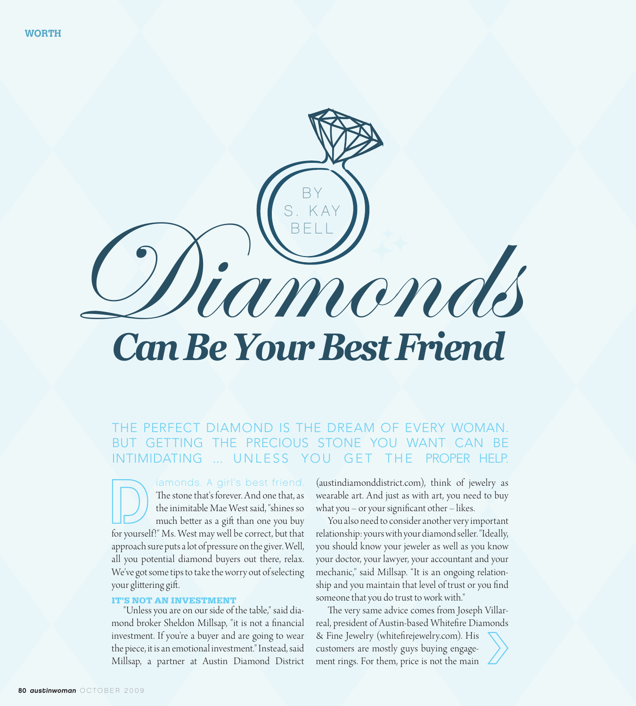

#### THE PERFECT DIAMOND IS THE DREAM OF EVERY WOMAN. GETTING THE PRECIOUS STONE YOU WANT CAN BE **INTIMIDATING** UNLESS YOU GET THE PROPER HELP.

iamonds. A girl's best friend. The stone that's forever. And one that, as the inimitable Mae West said, "shines so much better as a gift than one you buy for yourself!" Ms. West may well be correct, but that approach sure puts a lot of pressure on the giver. Well, all you potential diamond buyers out there, relax. We've got some tips to take the worry out of selecting your glittering gift.

## **IT'S NOT AN INVESTMENT**

"Unless you are on our side of the table," said diamond broker Sheldon Millsap, "it is not a financial investment. If you're a buyer and are going to wear the piece, it is an emotional investment." Instead, said Millsap, a partner at Austin Diamond District (austindiamonddistrict.com), think of jewelry as wearable art. And just as with art, you need to buy what you  $-$  or your significant other  $-$  likes.

You also need to consider another very important relationship: yours with your diamond seller. "Ideally, you should know your jeweler as well as you know your doctor, your lawyer, your accountant and your mechanic," said Millsap. "It is an ongoing relationship and you maintain that level of trust or you find someone that you do trust to work with."

The very same advice comes from Joseph Villarreal, president of Austin-based Whitefire Diamonds & Fine Jewelry (whitefirejewelry.com). His customers are mostly guys buying engage-

ment rings. For them, price is not the main